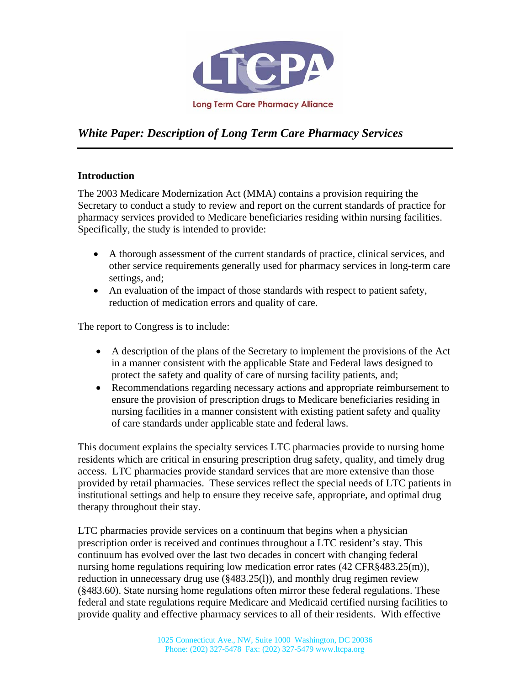

# *White Paper: Description of Long Term Care Pharmacy Services*

## **Introduction**

The 2003 Medicare Modernization Act (MMA) contains a provision requiring the Secretary to conduct a study to review and report on the current standards of practice for pharmacy services provided to Medicare beneficiaries residing within nursing facilities. Specifically, the study is intended to provide:

- A thorough assessment of the current standards of practice, clinical services, and other service requirements generally used for pharmacy services in long-term care settings, and;
- An evaluation of the impact of those standards with respect to patient safety, reduction of medication errors and quality of care.

The report to Congress is to include:

- A description of the plans of the Secretary to implement the provisions of the Act in a manner consistent with the applicable State and Federal laws designed to protect the safety and quality of care of nursing facility patients, and;
- Recommendations regarding necessary actions and appropriate reimbursement to ensure the provision of prescription drugs to Medicare beneficiaries residing in nursing facilities in a manner consistent with existing patient safety and quality of care standards under applicable state and federal laws.

This document explains the specialty services LTC pharmacies provide to nursing home residents which are critical in ensuring prescription drug safety, quality, and timely drug access. LTC pharmacies provide standard services that are more extensive than those provided by retail pharmacies. These services reflect the special needs of LTC patients in institutional settings and help to ensure they receive safe, appropriate, and optimal drug therapy throughout their stay.

LTC pharmacies provide services on a continuum that begins when a physician prescription order is received and continues throughout a LTC resident's stay. This continuum has evolved over the last two decades in concert with changing federal nursing home regulations requiring low medication error rates (42 CFR§483.25(m)), reduction in unnecessary drug use (§483.25(l)), and monthly drug regimen review (§483.60). State nursing home regulations often mirror these federal regulations. These federal and state regulations require Medicare and Medicaid certified nursing facilities to provide quality and effective pharmacy services to all of their residents. With effective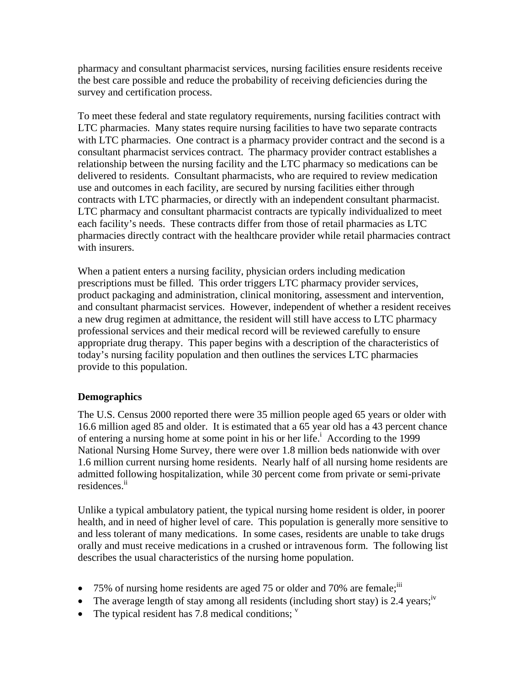pharmacy and consultant pharmacist services, nursing facilities ensure residents receive the best care possible and reduce the probability of receiving deficiencies during the survey and certification process.

To meet these federal and state regulatory requirements, nursing facilities contract with LTC pharmacies. Many states require nursing facilities to have two separate contracts with LTC pharmacies. One contract is a pharmacy provider contract and the second is a consultant pharmacist services contract. The pharmacy provider contract establishes a relationship between the nursing facility and the LTC pharmacy so medications can be delivered to residents. Consultant pharmacists, who are required to review medication use and outcomes in each facility, are secured by nursing facilities either through contracts with LTC pharmacies, or directly with an independent consultant pharmacist. LTC pharmacy and consultant pharmacist contracts are typically individualized to meet each facility's needs. These contracts differ from those of retail pharmacies as LTC pharmacies directly contract with the healthcare provider while retail pharmacies contract with insurers.

When a patient enters a nursing facility, physician orders including medication prescriptions must be filled. This order triggers LTC pharmacy provider services, product packaging and administration, clinical monitoring, assessment and intervention, and consultant pharmacist services. However, independent of whether a resident receives a new drug regimen at admittance, the resident will still have access to LTC pharmacy professional services and their medical record will be reviewed carefully to ensure appropriate drug therapy. This paper begins with a description of the characteristics of today's nursing facility population and then outlines the services LTC pharmacies provide to this population.

# **Demographics**

The U.S. Census 2000 reported there were 35 million people aged 65 years or older with 16.6 million aged 85 and older. It is estimated that a 65 year old has a 43 percent chance of entering a nursing home at some point in his or her life.<sup>i</sup> According to the 1999 National Nursing Home Survey, there were over 1.8 million beds nationwide with over 1.6 million current nursing home residents. Nearly half of all nursing home residents are admitted following hospitalization, while 30 percent come from private or semi-private residences.<sup>ii</sup>

Unlike a typical ambulatory patient, the typical nursing home resident is older, in poorer health, and in need of higher level of care. This population is generally more sensitive to and less tolerant of many medications. In some cases, residents are unable to take drugs orally and must receive medications in a crushed or intravenous form. The following list describes the usual characteristics of the nursing home population.

- 75% of nursing home residents are aged 75 or older and 70% are female;  $\ddot{\text{ii}}$
- The average length of stay among all residents (including short stay) is 2.4 years;  $\dot{v}$
- The typical resident has  $7.8$  medical conditions;  $\frac{v}{x}$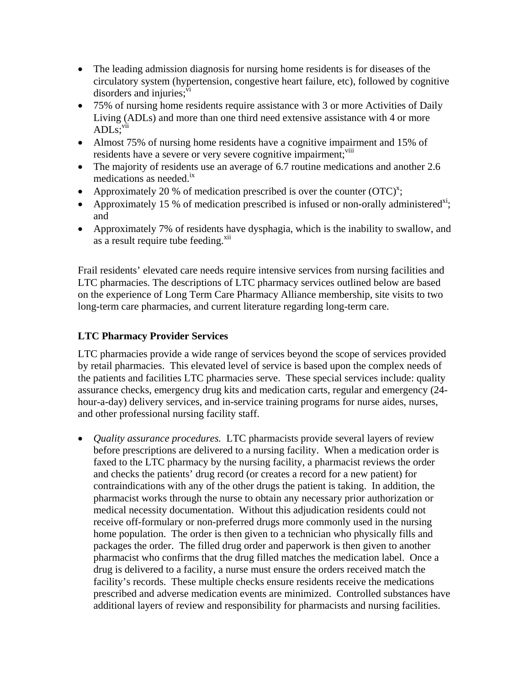- The leading admission diagnosis for nursing home residents is for diseases of the circulatory system (hypertension, congestive heart failure, etc), followed by cognitive disorders and injuries; $\frac{vi}{i}$
- 75% of nursing home residents require assistance with 3 or more Activities of Daily Living (ADLs) and more than one third need extensive assistance with 4 or more ADL<sub>s</sub>:vii
- Almost 75% of nursing home residents have a cognitive impairment and 15% of residents have a severe or very severe cognitive impairment;<sup>viii</sup>
- The majority of residents use an average of 6.7 routine medications and another 2.6 medications as needed.<sup>ix</sup>
- Approximately 20 % of medication prescribed is over the counter  $(TC)^x$ ;
- Approximately 15 % of medication prescribed is infused or non-orally administered<sup>xi</sup>; and
- Approximately 7% of residents have dysphagia, which is the inability to swallow, and as a result require tube feeding.<sup>xii</sup>

Frail residents' elevated care needs require intensive services from nursing facilities and LTC pharmacies. The descriptions of LTC pharmacy services outlined below are based on the experience of Long Term Care Pharmacy Alliance membership, site visits to two long-term care pharmacies, and current literature regarding long-term care.

# **LTC Pharmacy Provider Services**

LTC pharmacies provide a wide range of services beyond the scope of services provided by retail pharmacies. This elevated level of service is based upon the complex needs of the patients and facilities LTC pharmacies serve. These special services include: quality assurance checks, emergency drug kits and medication carts, regular and emergency (24 hour-a-day) delivery services, and in-service training programs for nurse aides, nurses, and other professional nursing facility staff.

• *Quality assurance procedures.* LTC pharmacists provide several layers of review before prescriptions are delivered to a nursing facility. When a medication order is faxed to the LTC pharmacy by the nursing facility, a pharmacist reviews the order and checks the patients' drug record (or creates a record for a new patient) for contraindications with any of the other drugs the patient is taking. In addition, the pharmacist works through the nurse to obtain any necessary prior authorization or medical necessity documentation. Without this adjudication residents could not receive off-formulary or non-preferred drugs more commonly used in the nursing home population. The order is then given to a technician who physically fills and packages the order. The filled drug order and paperwork is then given to another pharmacist who confirms that the drug filled matches the medication label. Once a drug is delivered to a facility, a nurse must ensure the orders received match the facility's records. These multiple checks ensure residents receive the medications prescribed and adverse medication events are minimized. Controlled substances have additional layers of review and responsibility for pharmacists and nursing facilities.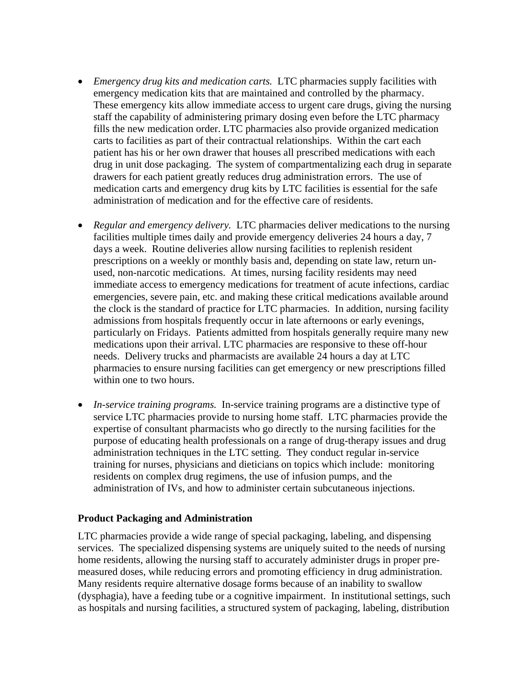- *Emergency drug kits and medication carts.* LTC pharmacies supply facilities with emergency medication kits that are maintained and controlled by the pharmacy. These emergency kits allow immediate access to urgent care drugs, giving the nursing staff the capability of administering primary dosing even before the LTC pharmacy fills the new medication order. LTC pharmacies also provide organized medication carts to facilities as part of their contractual relationships. Within the cart each patient has his or her own drawer that houses all prescribed medications with each drug in unit dose packaging. The system of compartmentalizing each drug in separate drawers for each patient greatly reduces drug administration errors. The use of medication carts and emergency drug kits by LTC facilities is essential for the safe administration of medication and for the effective care of residents.
- *Regular and emergency delivery.* LTC pharmacies deliver medications to the nursing facilities multiple times daily and provide emergency deliveries 24 hours a day, 7 days a week. Routine deliveries allow nursing facilities to replenish resident prescriptions on a weekly or monthly basis and, depending on state law, return unused, non-narcotic medications. At times, nursing facility residents may need immediate access to emergency medications for treatment of acute infections, cardiac emergencies, severe pain, etc. and making these critical medications available around the clock is the standard of practice for LTC pharmacies. In addition, nursing facility admissions from hospitals frequently occur in late afternoons or early evenings, particularly on Fridays. Patients admitted from hospitals generally require many new medications upon their arrival. LTC pharmacies are responsive to these off-hour needs. Delivery trucks and pharmacists are available 24 hours a day at LTC pharmacies to ensure nursing facilities can get emergency or new prescriptions filled within one to two hours.
- *In-service training programs.* In-service training programs are a distinctive type of service LTC pharmacies provide to nursing home staff. LTC pharmacies provide the expertise of consultant pharmacists who go directly to the nursing facilities for the purpose of educating health professionals on a range of drug-therapy issues and drug administration techniques in the LTC setting. They conduct regular in-service training for nurses, physicians and dieticians on topics which include: monitoring residents on complex drug regimens, the use of infusion pumps, and the administration of IVs, and how to administer certain subcutaneous injections.

#### **Product Packaging and Administration**

LTC pharmacies provide a wide range of special packaging, labeling, and dispensing services. The specialized dispensing systems are uniquely suited to the needs of nursing home residents, allowing the nursing staff to accurately administer drugs in proper premeasured doses, while reducing errors and promoting efficiency in drug administration. Many residents require alternative dosage forms because of an inability to swallow (dysphagia), have a feeding tube or a cognitive impairment. In institutional settings, such as hospitals and nursing facilities, a structured system of packaging, labeling, distribution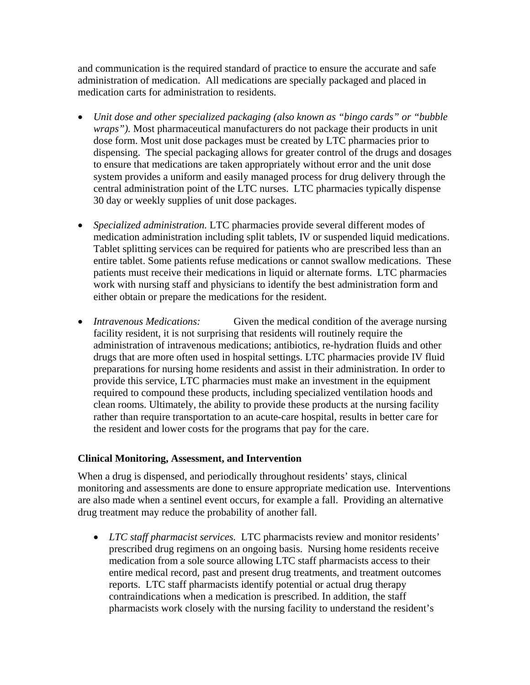and communication is the required standard of practice to ensure the accurate and safe administration of medication. All medications are specially packaged and placed in medication carts for administration to residents.

- *Unit dose and other specialized packaging (also known as "bingo cards" or "bubble wraps").* Most pharmaceutical manufacturers do not package their products in unit dose form. Most unit dose packages must be created by LTC pharmacies prior to dispensing. The special packaging allows for greater control of the drugs and dosages to ensure that medications are taken appropriately without error and the unit dose system provides a uniform and easily managed process for drug delivery through the central administration point of the LTC nurses. LTC pharmacies typically dispense 30 day or weekly supplies of unit dose packages.
- *Specialized administration.* LTC pharmacies provide several different modes of medication administration including split tablets, IV or suspended liquid medications. Tablet splitting services can be required for patients who are prescribed less than an entire tablet. Some patients refuse medications or cannot swallow medications. These patients must receive their medications in liquid or alternate forms. LTC pharmacies work with nursing staff and physicians to identify the best administration form and either obtain or prepare the medications for the resident.
- *Intravenous Medications:* Given the medical condition of the average nursing facility resident, it is not surprising that residents will routinely require the administration of intravenous medications; antibiotics, re-hydration fluids and other drugs that are more often used in hospital settings. LTC pharmacies provide IV fluid preparations for nursing home residents and assist in their administration. In order to provide this service, LTC pharmacies must make an investment in the equipment required to compound these products, including specialized ventilation hoods and clean rooms. Ultimately, the ability to provide these products at the nursing facility rather than require transportation to an acute-care hospital, results in better care for the resident and lower costs for the programs that pay for the care.

#### **Clinical Monitoring, Assessment, and Intervention**

When a drug is dispensed, and periodically throughout residents' stays, clinical monitoring and assessments are done to ensure appropriate medication use. Interventions are also made when a sentinel event occurs, for example a fall. Providing an alternative drug treatment may reduce the probability of another fall.

• *LTC staff pharmacist services.* LTC pharmacists review and monitor residents' prescribed drug regimens on an ongoing basis. Nursing home residents receive medication from a sole source allowing LTC staff pharmacists access to their entire medical record, past and present drug treatments, and treatment outcomes reports. LTC staff pharmacists identify potential or actual drug therapy contraindications when a medication is prescribed. In addition, the staff pharmacists work closely with the nursing facility to understand the resident's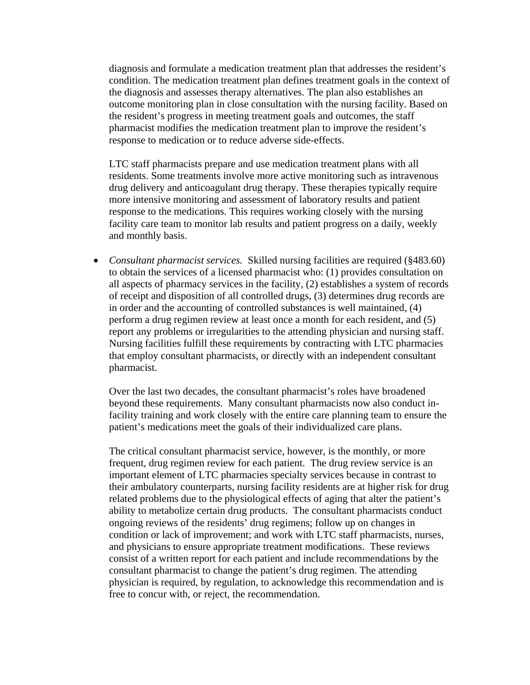diagnosis and formulate a medication treatment plan that addresses the resident's condition. The medication treatment plan defines treatment goals in the context of the diagnosis and assesses therapy alternatives. The plan also establishes an outcome monitoring plan in close consultation with the nursing facility. Based on the resident's progress in meeting treatment goals and outcomes, the staff pharmacist modifies the medication treatment plan to improve the resident's response to medication or to reduce adverse side-effects.

LTC staff pharmacists prepare and use medication treatment plans with all residents. Some treatments involve more active monitoring such as intravenous drug delivery and anticoagulant drug therapy. These therapies typically require more intensive monitoring and assessment of laboratory results and patient response to the medications. This requires working closely with the nursing facility care team to monitor lab results and patient progress on a daily, weekly and monthly basis.

• *Consultant pharmacist services.* Skilled nursing facilities are required (§483.60) to obtain the services of a licensed pharmacist who: (1) provides consultation on all aspects of pharmacy services in the facility, (2) establishes a system of records of receipt and disposition of all controlled drugs, (3) determines drug records are in order and the accounting of controlled substances is well maintained, (4) perform a drug regimen review at least once a month for each resident, and (5) report any problems or irregularities to the attending physician and nursing staff. Nursing facilities fulfill these requirements by contracting with LTC pharmacies that employ consultant pharmacists, or directly with an independent consultant pharmacist.

Over the last two decades, the consultant pharmacist's roles have broadened beyond these requirements. Many consultant pharmacists now also conduct infacility training and work closely with the entire care planning team to ensure the patient's medications meet the goals of their individualized care plans.

The critical consultant pharmacist service, however, is the monthly, or more frequent, drug regimen review for each patient. The drug review service is an important element of LTC pharmacies specialty services because in contrast to their ambulatory counterparts, nursing facility residents are at higher risk for drug related problems due to the physiological effects of aging that alter the patient's ability to metabolize certain drug products. The consultant pharmacists conduct ongoing reviews of the residents' drug regimens; follow up on changes in condition or lack of improvement; and work with LTC staff pharmacists, nurses, and physicians to ensure appropriate treatment modifications. These reviews consist of a written report for each patient and include recommendations by the consultant pharmacist to change the patient's drug regimen. The attending physician is required, by regulation, to acknowledge this recommendation and is free to concur with, or reject, the recommendation.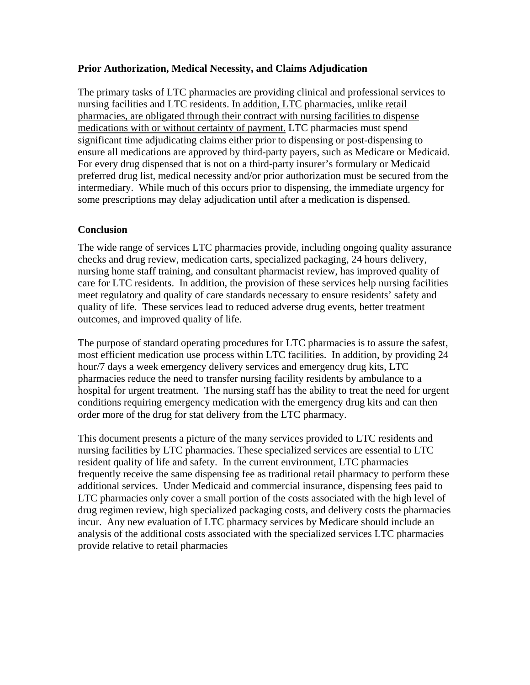## **Prior Authorization, Medical Necessity, and Claims Adjudication**

The primary tasks of LTC pharmacies are providing clinical and professional services to nursing facilities and LTC residents. In addition, LTC pharmacies, unlike retail pharmacies, are obligated through their contract with nursing facilities to dispense medications with or without certainty of payment. LTC pharmacies must spend significant time adjudicating claims either prior to dispensing or post-dispensing to ensure all medications are approved by third-party payers, such as Medicare or Medicaid. For every drug dispensed that is not on a third-party insurer's formulary or Medicaid preferred drug list, medical necessity and/or prior authorization must be secured from the intermediary. While much of this occurs prior to dispensing, the immediate urgency for some prescriptions may delay adjudication until after a medication is dispensed.

# **Conclusion**

The wide range of services LTC pharmacies provide, including ongoing quality assurance checks and drug review, medication carts, specialized packaging, 24 hours delivery, nursing home staff training, and consultant pharmacist review, has improved quality of care for LTC residents. In addition, the provision of these services help nursing facilities meet regulatory and quality of care standards necessary to ensure residents' safety and quality of life. These services lead to reduced adverse drug events, better treatment outcomes, and improved quality of life.

The purpose of standard operating procedures for LTC pharmacies is to assure the safest, most efficient medication use process within LTC facilities. In addition, by providing 24 hour/7 days a week emergency delivery services and emergency drug kits, LTC pharmacies reduce the need to transfer nursing facility residents by ambulance to a hospital for urgent treatment. The nursing staff has the ability to treat the need for urgent conditions requiring emergency medication with the emergency drug kits and can then order more of the drug for stat delivery from the LTC pharmacy.

This document presents a picture of the many services provided to LTC residents and nursing facilities by LTC pharmacies. These specialized services are essential to LTC resident quality of life and safety. In the current environment, LTC pharmacies frequently receive the same dispensing fee as traditional retail pharmacy to perform these additional services. Under Medicaid and commercial insurance, dispensing fees paid to LTC pharmacies only cover a small portion of the costs associated with the high level of drug regimen review, high specialized packaging costs, and delivery costs the pharmacies incur. Any new evaluation of LTC pharmacy services by Medicare should include an analysis of the additional costs associated with the specialized services LTC pharmacies provide relative to retail pharmacies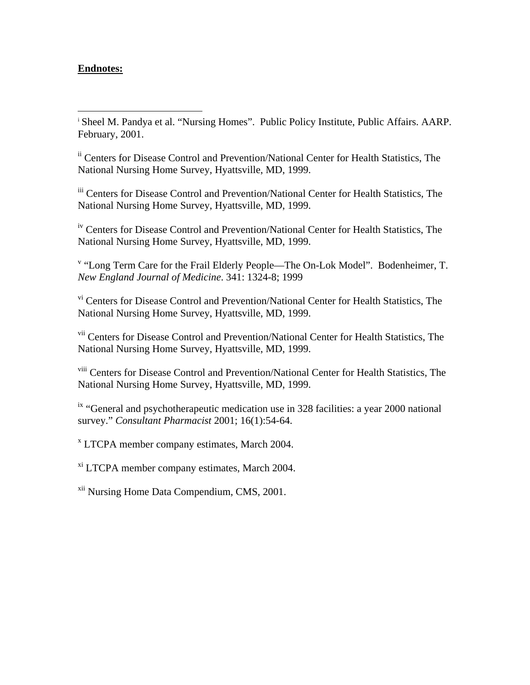## **Endnotes:**

1

<sup>i</sup> Sheel M. Pandya et al. "Nursing Homes". Public Policy Institute, Public Affairs. AARP. February, 2001.

ii Centers for Disease Control and Prevention/National Center for Health Statistics, The National Nursing Home Survey, Hyattsville, MD, 1999.

iii Centers for Disease Control and Prevention/National Center for Health Statistics, The National Nursing Home Survey, Hyattsville, MD, 1999.

iv Centers for Disease Control and Prevention/National Center for Health Statistics, The National Nursing Home Survey, Hyattsville, MD, 1999.

<sup>v</sup> "Long Term Care for the Frail Elderly People—The On-Lok Model". Bodenheimer, T. *New England Journal of Medicine*. 341: 1324-8; 1999

vi Centers for Disease Control and Prevention/National Center for Health Statistics, The National Nursing Home Survey, Hyattsville, MD, 1999.

vii Centers for Disease Control and Prevention/National Center for Health Statistics, The National Nursing Home Survey, Hyattsville, MD, 1999.

viii Centers for Disease Control and Prevention/National Center for Health Statistics, The National Nursing Home Survey, Hyattsville, MD, 1999.

<sup>ix</sup> "General and psychotherapeutic medication use in 328 facilities: a year 2000 national survey." *Consultant Pharmacist* 2001; 16(1):54-64.

x LTCPA member company estimates, March 2004.

xi LTCPA member company estimates, March 2004.

xii Nursing Home Data Compendium, CMS, 2001.